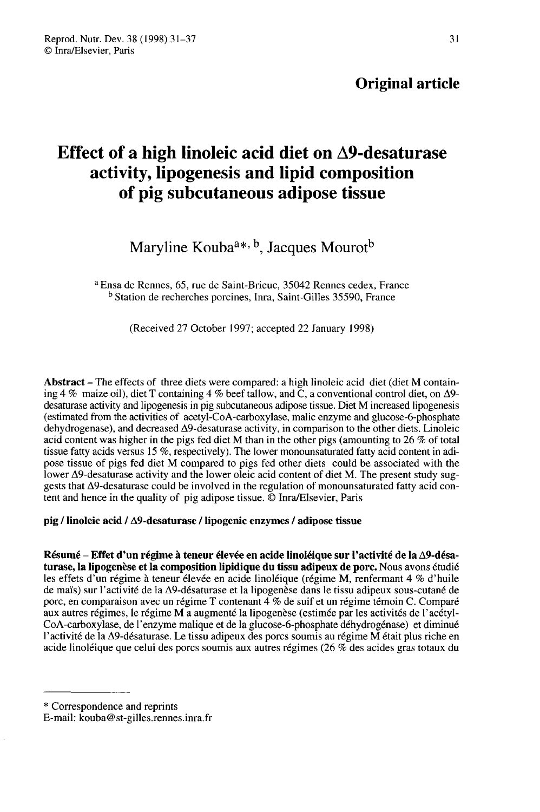# Original article

# Effect of a high linoleic acid diet on  $\Delta$ 9-desaturase activity, lipogenesis and lipid composition of pig subcutaneous adipose tissue

# Maryline Kouba<sup> $a*, b$ </sup>, Jacques Mourot<sup>b</sup>

a Ensa de Rennes, 65, rue de Saint-Brieuc, 35042 Rennes cedex, France b Station de recherches porcines, Inra, Saint-Gilles 35590, France

(Received 27 October 1997; accepted 22 January 1998)

Abstract - The effects of three diets were compared: a high linoleic acid diet (diet M containing 4 % maize oil), diet T containing 4 % beef tallow, and  $\tilde{C}$ , a conventional control diet, on  $\Delta$ 9desaturase activity and lipogenesis in pig subcutaneous adipose tissue. Diet M increased lipogenesis (estimated from the activities of acetyl-CoA-carboxylase, malic enzyme and glucose-6-phosphate dehydrogenase), and decreased A9-desaturase activity, in comparison to the other diets. Linoleic acid content was higher in the pigs fed diet M than in the other pigs (amounting to 26 % of total tissue fatty acids versus 15 %, respectively). The lower monounsaturated fatty acid content in adipose tissue of pigs fed diet M compared to pigs fed other diets could be associated with the lower A9-desaturase activity and the lower oleic acid content of diet M. The present study suggests that A9-desaturase could be involved in the regulation of monounsaturated fatty acid content and hence in the quality of pig adipose tissue. @ Inra/Elsevier, Paris

pig / linoleic acid / A9-desaturase / lipogenic enzymes / adipose tissue

Résumé - Effet d'un régime à teneur élevée en acide linoléique sur l'activité de la A9-désaturase, la lipogenèse et la composition lipidique du tissu adipeux de porc. Nous avons étudié les effets d'un régime à teneur élevée en acide linoléique (régime M, renfermant 4 % d'huile de maïs) sur l'activité de la  $\Delta$ 9-désaturase et la lipogenèse dans le tissu adipeux sous-cutané de porc, en comparaison avec un régime T contenant 4 % de suif et un régime témoin C. Comparé aux autres régimes, le régime M a augmenté la lipogenèse (estimée par les activités de l'acétyl-CoA-carboxylase, de l'enzyme malique et de la glucose-6-phosphate déhydrogénase) et diminué l'activité de la A9-désaturase. Le tissu adipeux des porcs soumis au régime M était plus riche en acide linoléique que celui des porcs soumis aux autres régimes (26 % des acides gras totaux du

<sup>\*</sup> Correspondence and reprints

E-mail: kouba@st-gilles.rennes.inra.fr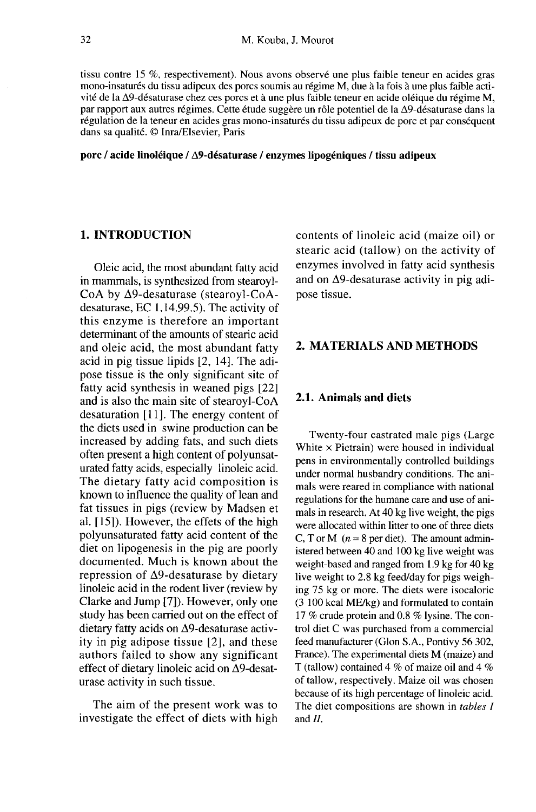tissu contre 15 %, respectivement). Nous avons observé une plus faible teneur en acides gras mono-insaturés du tissu adipeux des porcs soumis au régime M, due à la fois à une plus faible activité de la A9-désaturase chez ces porcs et à une plus faible teneur en acide oléique du régime M, par rapport aux autres régimes. Cette étude suggère un rôle potentiel de la A9-désaturase dans la régulation de la teneur en acides gras mono-insaturés du tissu adipeux de porc et par conséquent dans sa qualité. @ Inra/Elsevier, Paris

porc / acide linoléique / A9-désaturase / enzymes lipogéniques / tissu adipeux

# 1. INTRODUCTION

Oleic acid, the most abundant fatty acid in mammals, is synthesized from stearoyl-CoA by A9-desaturase (stearoyl-CoAdesaturase, EC 1.14.99.5). The activity of this enzyme is therefore an important determinant of the amounts of stearic acid and oleic acid, the most abundant fatty acid in pig tissue lipids [2, 14]. The adipose tissue is the only significant site of fatty acid synthesis in weaned pigs [22] and is also the main site of stearoyl-CoA desaturation [11]. The energy content of the diets used in swine production can be increased by adding fats, and such diets often present a high content of polyunsaturated fatty acids, especially linoleic acid. The dietary fatty acid composition is known to influence the quality of lean and fat tissues in pigs (review by Madsen et al. [15]). However, the effets of the high polyunsaturated fatty acid content of the diet on lipogenesis in the pig are poorly documented. Much is known about the repression of  $\Delta$ 9-desaturase by dietary linoleic acid in the rodent liver (review by Clarke and Jump [7]). However, only one study has been carried out on the effect of dietary fatty acids on A9-desaturase activity in pig adipose tissue [2], and these authors failed to show any significant effect of dietary linoleic acid on A9-desaturase activity in such tissue.

The aim of the present work was to investigate the effect of diets with high contents of linoleic acid (maize oil) or stearic acid (tallow) on the activity of enzymes involved in fatty acid synthesis and on  $\Delta$ 9-desaturase activity in pig adipose tissue.

#### 2. MATERIALS AND METHODS

#### 2.1. Animals and diets

Twenty-four castrated male pigs (Large White  $\times$  Pietrain) were housed in individual pens in environmentally controlled buildings under normal husbandry conditions. The animals were reared in compliance with national regulations for the humane care and use of animals in research. At 40 kg live weight, the pigs were allocated within litter to one of three diets C, T or M ( $n = 8$  per diet). The amount administered between 40 and 100 kg live weight was weight-based and ranged from 1.9 kg for 40 kg live weight to 2.8 kg feed/day for pigs weighing 75 kg or more. The diets were isocaloric (3 100 kcal ME/kg) and formulated to contain 17 % crude protein and 0.8 % lysine. The control diet C was purchased from a commercial feed manufacturer (Glon S.A., Pontivy 56 302, France). The experimental diets M (maize) and T (tallow) contained 4 % of maize oil and 4 % of tallow, respectively. Maize oil was chosen because of its high percentage of linoleic acid. The diet compositions are shown in *tables I* and II.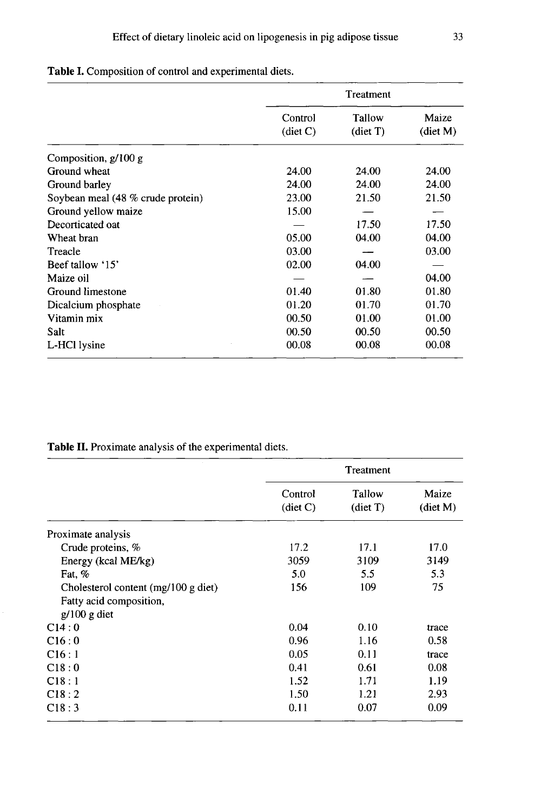Table I. Composition of control and experimental diets.

|                                   | Treatment           |                              |                             |  |
|-----------------------------------|---------------------|------------------------------|-----------------------------|--|
|                                   | Control<br>(diet C) | Tallow<br>$(\text{dict } T)$ | Maize<br>$(\text{dict } M)$ |  |
| Composition, $g/100 g$            |                     |                              |                             |  |
| Ground wheat                      | 24.00               | 24.00                        | 24.00                       |  |
| Ground barley                     | 24.00               | 24.00                        | 24.00                       |  |
| Soybean meal (48 % crude protein) | 23.00               | 21.50                        | 21.50                       |  |
| Ground yellow maize               | 15.00               |                              |                             |  |
| Decorticated oat                  |                     | 17.50                        | 17.50                       |  |
| Wheat bran                        | 05.00               | 04.00                        | 04.00                       |  |
| Treacle                           | 03.00               |                              | 03.00                       |  |
| Beef tallow '15'                  | 02.00               | 04.00                        |                             |  |
| Maize oil                         |                     |                              | 04.00                       |  |
| Ground limestone                  | 01.40               | 01.80                        | 01.80                       |  |
| Dicalcium phosphate               | 01.20               | 01.70                        | 01.70                       |  |
| Vitamin mix                       | 00.50               | 01.00                        | 01.00                       |  |
| Salt                              | 00.50               | 00.50                        | 00.50                       |  |
| L-HCl lysine                      | 00.08               | 00.08                        | 00.08                       |  |

Table II. Proximate analysis of the experimental diets.

|                                               | Treatment                     |                             |                             |
|-----------------------------------------------|-------------------------------|-----------------------------|-----------------------------|
|                                               | Control<br>$(\text{dict } C)$ | Tallow<br>$(\text{det } T)$ | Maize<br>$(\text{dict } M)$ |
| Proximate analysis                            |                               |                             |                             |
| Crude proteins, %                             | 17.2                          | 17.1                        | 17.0                        |
| Energy (kcal ME/kg)                           | 3059                          | 3109                        | 3149                        |
| Fat, %                                        | 5.0                           | 5.5                         | 5.3                         |
| Cholesterol content $(mg/100 g \text{ diet})$ | 156                           | 109                         | 75                          |
| Fatty acid composition,                       |                               |                             |                             |
| $g/100 g$ diet                                |                               |                             |                             |
| C14:0                                         | 0.04                          | 0.10                        | trace                       |
| C16:0                                         | 0.96                          | 1.16                        | 0.58                        |
| C16:1                                         | 0.05                          | 0.11                        | trace                       |
| C18:0                                         | 0.41                          | 0.61                        | 0.08                        |
| C18:1                                         | 1.52                          | 1.71                        | 1.19                        |
| C18:2                                         | 1.50                          | 1.21                        | 2.93                        |
| C18:3                                         | 0.11                          | 0.07                        | 0.09                        |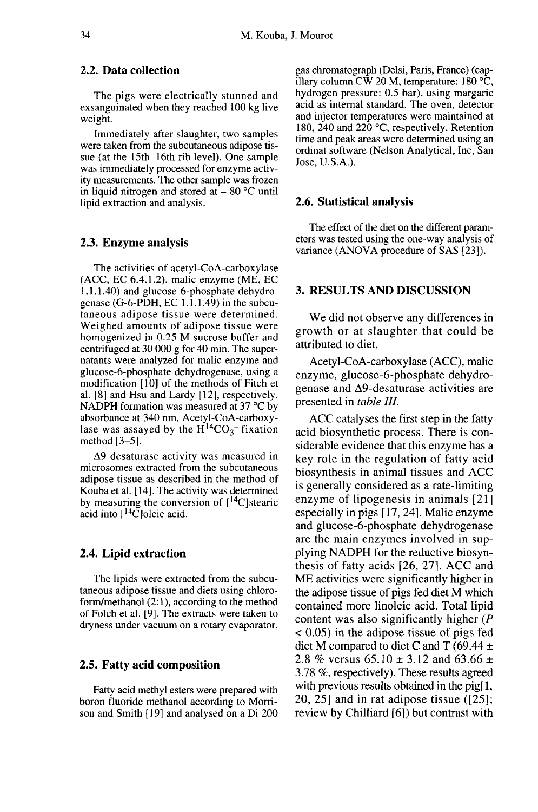# 2.2. Data collection

The pigs were electrically stunned and exsanguinated when they reached 100 kg live weight.

Immediately after slaughter, two samples were taken from the subcutaneous adipose tissue (at the 15th-16th rib level). One sample was immediately processed for enzyme activity measurements. The other sample was frozen in liquid nitrogen and stored at  $-80$  °C until lipid extraction and analysis.

#### 2.3. Enzyme analysis

The activities of acetyl-CoA-carboxylase (ACC, EC 6.4.1.2), malic enzyme (ME, EC 1.1.1.40) and glucose-6-phosphate dehydrogenase  $(G-6-PDH, EC 1.1.1.49)$  in the subcutaneous adipose tissue were determined. Weighed amounts of adipose tissue were homogenized in 0.25 M sucrose buffer and centrifuged at 30 000 g for 40 min. The supernatants were analyzed for malic enzyme and glucose-6-phosphate dehydrogenase, using a modification [10] of the methods of Fitch et al. [8] and Hsu and Lardy [12], respectively. NADPH formation was measured at  $37 \text{ °C}$  by absorbance at 340 nm. Acetyl-CoA-carboxy-<br>lase was assayed by the  $H^{14}CO_3$ - fixation Momogenized in 0.25 M sucrose buffer and<br>centrifuged at 30 000 g for 40 min. The super-<br>natants were analyzed for malic enzyme and<br>glucose-6-phosphate dehydrogenase, using a<br>modification [10] of the methods of Fitch et<br>al method [3-5].

A9-desaturase activity was measured in microsomes extracted from the subcutaneous adipose tissue as described in the method of Kouba et al. [14]. The activity was determined by measuring the conversion of  $[{}^{14}C]$ stearic acid into  $[$ <sup>14</sup>C]oleic acid.

#### 2.4. Lipid extraction

The lipids were extracted from the subcutaneous adipose tissue and diets using chloroform/methanol (2:1), according to the method of Folch et al. [9]. The extracts were taken to dryness under vacuum on a rotary evaporator.

#### 2.5. Fatty acid composition

Fatty acid methyl esters were prepared with boron fluoride methanol according to Morrison and Smith [ 19] and analysed on a Di 200

gas chromatograph (Delsi, Paris, France) (capillary column CW 20 M, temperature: 180 °C, hydrogen pressure: 0.5 bar), using margaric acid as internal standard. The oven, detector and injector temperatures were maintained at 180, 240 and 220  $^{\circ}$ C, respectively. Retention time and peak areas were determined using an ordinat software (Nelson Analytical, Inc, San Jose, U.S.A.).

#### 2.6. Statistical analysis

The effect of the diet on the different param eters was tested using the one-way analysis of variance (ANOVA procedure of SAS [23]).

#### 3. RESULTS AND DISCUSSION

We did not observe any differences in growth or at slaughter that could be attributed to diet.

Acetyl-CoA-carboxylase (ACC), malic enzyme, glucose-6-phosphate dehydrogenase and A9-desaturase activities are presented in table Ill.

ACC catalyses the first step in the fatty acid biosynthetic process. There is considerable evidence that this enzyme has a key role in the regulation of fatty acid biosynthesis in animal tissues and ACC is generally considered as a rate-limiting enzyme of lipogenesis in animals [21] especially in pigs [17, 24]. Malic enzyme and glucose-6-phosphate dehydrogenase are the main enzymes involved in supplying NADPH for the reductive biosynthesis of fatty acids [26, 27]. ACC and ME activities were significantly higher in the adipose tissue of pigs fed diet M which contained more linoleic acid. Total lipid content was also significantly higher (P < 0.05) in the adipose tissue of pigs fed diet M compared to diet C and T (69.44  $\pm$ 2.8 % versus  $65.10 \pm 3.12$  and  $63.66 \pm 1.2$ 3.78 %, respectively). These results agreed with previous results obtained in the pig[1, 20, 25] and in rat adipose tissue ([25]; review by Chilliard [6]) but contrast with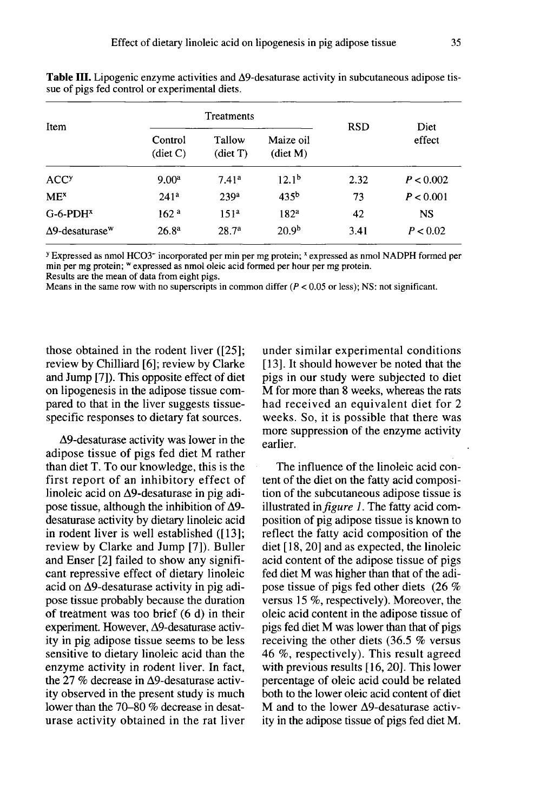| Item                               | Treatments          |                    |                                 | <b>RSD</b> | Diet      |
|------------------------------------|---------------------|--------------------|---------------------------------|------------|-----------|
|                                    | Control<br>(diet C) | Tallow<br>(diet T) | Maize oil<br>$(\text{dict } M)$ |            | effect    |
| <b>ACC<sup>y</sup></b>             | 9.00 <sup>a</sup>   | 7.41 <sup>a</sup>  | 12.1 <sup>b</sup>               | 2.32       | P < 0.002 |
| ME <sup>x</sup>                    | 241 <sup>a</sup>    | 239 <sup>a</sup>   | 435 <sup>b</sup>                | 73         | P < 0.001 |
| $G-6-PDHx$                         | 162 <sup>a</sup>    | 151 <sup>a</sup>   | 182 <sup>a</sup>                | 42         | <b>NS</b> |
| $\Delta$ 9-desaturase <sup>w</sup> | 26.8 <sup>a</sup>   | 28.7 <sup>a</sup>  | 20.9 <sup>b</sup>               | 3.41       | P < 0.02  |

**Table III.** Lipogenic enzyme activities and  $\Delta$ 9-desaturase activity in subcutaneous adipose tissue of pigs fed control or experimental diets.

y Expressed as nmol HCO3<sup>-</sup> incorporated per min per mg protein; <sup>x</sup> expressed as nmol NADPH formed per min per mg protein; " expressed as nmol oleic acid formed per hour per mg protein.

Results are the mean of data from eight pigs.

Means in the same row with no superscripts in common differ  $(P < 0.05$  or less); NS: not significant.

those obtained in the rodent liver ([25]; review by Chilliard [6]; review by Clarke and Jump [7]). This opposite effect of diet on lipogenesis in the adipose tissue compared to that in the liver suggests tissuespecific responses to dietary fat sources.

A9-desaturase activity was lower in the adipose tissue of pigs fed diet M rather than diet T. To our knowledge, this is the first report of an inhibitory effect of linoleic acid on A9-desaturase in pig adipose tissue, although the inhibition of  $\Delta$ 9desaturase activity by dietary linoleic acid in rodent liver is well established ([13]; review by Clarke and Jump [7]). Buller and Enser [2] failed to show any signifi cant repressive effect of dietary linoleic acid on A9-desaturase activity in pig adipose tissue probably because the duration of treatment was too brief (6 d) in their experiment. However, A9-desaturase activity in pig adipose tissue seems to be less sensitive to dietary linoleic acid than the enzyme activity in rodent liver. In fact, the 27 % decrease in  $\Delta$ 9-desaturase activity observed in the present study is much lower than the 70-80 % decrease in desaturase activity obtained in the rat liver under similar experimental conditions [13]. It should however be noted that the pigs in our study were subjected to diet M for more than 8 weeks, whereas the rats had received an equivalent diet for 2 weeks. So, it is possible that there was more suppression of the enzyme activity weeks. So, it is possible that there was<br>more suppression of the enzyme activity<br>earlier.

The influence of the linoleic acid content of the diet on the fatty acid composition of the subcutaneous adipose tissue is illustrated in *figure 1*. The fatty acid composition of pig adipose tissue is known to reflect the fatty acid composition of the diet [18, 20] and as expected, the linoleic acid content of the adipose tissue of pigs fed diet M was higher than that of the adipose tissue of pigs fed other diets (26 % versus 15 %, respectively). Moreover, the oleic acid content in the adipose tissue of pigs fed diet M was lower than that of pigs receiving the other diets (36.5 % versus 46 %, respectively). This result agreed with previous results [16, 20]. This lower percentage of oleic acid could be related both to the lower oleic acid content of diet M and to the lower A9-desaturase activity in the adipose tissue of pigs fed diet M.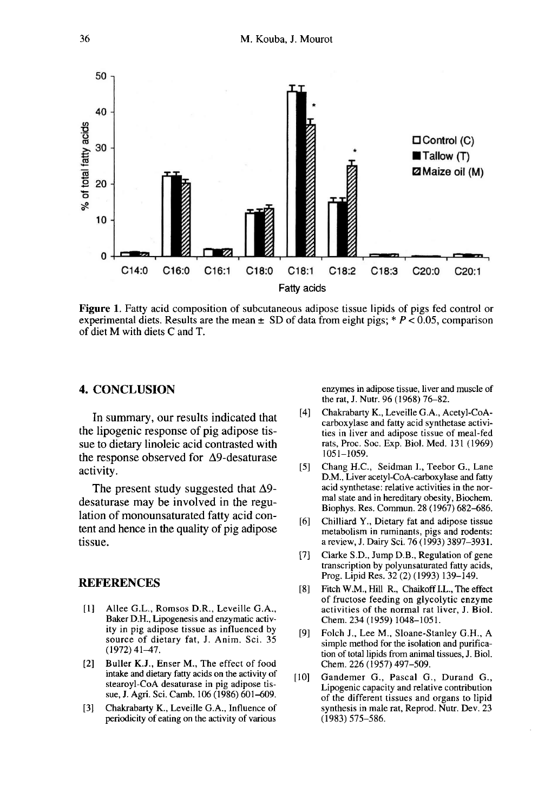

**Figure 1.** Fatty acid composition of subcutaneous adipose tissue lipids of pigs fed control or experimental diets. Results are the mean  $\pm$  SD of data from eight pigs; \* P < 0.05, comparison of diet M with diets C and T.

# 4. CONCLUSION

In summary, our results indicated that the lipogenic response of pig adipose tissue to dietary linoleic acid contrasted with the response observed for  $\Delta$ 9-desaturase activity.

The present study suggested that  $\Delta$ 9desaturase may be involved in the regulation of monounsaturated fatty acid content and hence in the quality of pig adipose tissue.

### **REFERENCES**

- [1] Allee G.L., Romsos D.R., Leveille G.A., Baker D.H., Lipogenesis and enzymatic activity in pig adipose tissue as influenced by source of dietary fat, J. Anim. Sci. 35 (1972)41-47.
- [2] Buller K.J., Enser M., The effect of food intake and dietary fatty acids on the activity of stearoyl-CoA desaturase in pig adipose tissue, J. Agri. Sci. Camb. 106 (1986) 601-609.
- [3] Chakrabarty K., Leveille G.A., Influence of periodicity of eating on the activity of various

enzymes in adipose tissue, liver and muscle of the rat, J. Nutr. 96 (1968) 76-82.

- [4] Chakrabarty K., Leveille G.A., Acetyl-CoAcarboxylase and fatty acid synthetase activities in liver and adipose tissue of meal-fed rats, Proc. Soc. Exp. Biol. Med. 131 (1969) 1051-1059.
- [5] Chang H.C., Seidman I., Teebor G., Lane D.M., Liver acetyl-CoA-carboxylase and fatty acid synthetase: relative activities in the normal state and in hereditary obesity, Biochem. Biophys. Res. Commun. 28 (1967) 682-686.
- [6] Chilliard Y., Dietary fat and adipose tissue metabolism in ruminants, pigs and rodents: a review, J. Dairy Sci. 76 (1993) 3897-3931.
- [7] Clarke S.D., Jump D.B., Regulation of gene transcription by polyunsaturated fatty acids, Prog. Lipid Res. 32 (2) (1993) 139-149.
- [8] Fitch W.M., Hill R., Chaikoff I.L., The effect of fructose feeding on glycolytic enzyme activities of the normal rat liver, J. Biol. Chem. 234 (1959) 1048-1051.
- [9] Folch J., Lee M., Sloane-Stanley G.H., A simple method for the isolation and purification of total lipids from animal tissues, J. Biol. Chem. 226 (1957) 497-509.
- [10] Gandemer G., Pascal G., Durand G., Lipogenic capacity and relative contribution of the different tissues and organs to lipid synthesis in male rat, Reprod. Nutr. Dev. 23 (1983) 575-586.